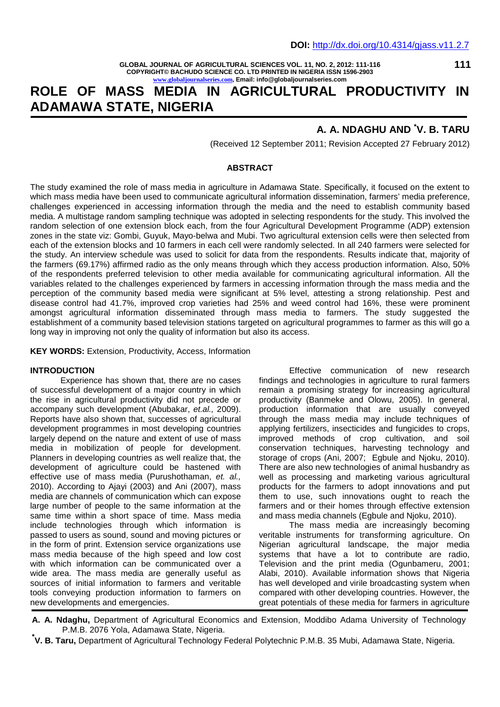**GLOBAL JOURNAL OF AGRICULTURAL SCIENCES VOL. 11, NO. 2, 2012: 111-116 COPYRIGHT© BACHUDO SCIENCE CO. LTD PRINTED IN NIGERIA ISSN 1596-2903 www.globaljournalseries.com, Email: info@globaljournalseries.com**

**111**

# **ROLE OF MASS MEDIA IN AGRICULTURAL PRODUCTIVITY IN ADAMAWA STATE, NIGERIA**

## **A. A. NDAGHU AND \*V. B. TARU**

(Received 12 September 2011; Revision Accepted 27 February 2012)

#### **ABSTRACT**

The study examined the role of mass media in agriculture in Adamawa State. Specifically, it focused on the extent to which mass media have been used to communicate agricultural information dissemination, farmers' media preference, challenges experienced in accessing information through the media and the need to establish community based media. A multistage random sampling technique was adopted in selecting respondents for the study. This involved the random selection of one extension block each, from the four Agricultural Development Programme (ADP) extension zones in the state viz: Gombi, Guyuk, Mayo-belwa and Mubi. Two agricultural extension cells were then selected from each of the extension blocks and 10 farmers in each cell were randomly selected. In all 240 farmers were selected for the study. An interview schedule was used to solicit for data from the respondents. Results indicate that, majority of the farmers (69.17%) affirmed radio as the only means through which they access production information. Also, 50% of the respondents preferred television to other media available for communicating agricultural information. All the variables related to the challenges experienced by farmers in accessing information through the mass media and the perception of the community based media were significant at 5% level, attesting a strong relationship. Pest and disease control had 41.7%, improved crop varieties had 25% and weed control had 16%, these were prominent amongst agricultural information disseminated through mass media to farmers. The study suggested the establishment of a community based television stations targeted on agricultural programmes to farmer as this will go a long way in improving not only the quality of information but also its access.

**KEY WORDS:** Extension, Productivity, Access, Information

#### **INTRODUCTION**

Experience has shown that, there are no cases of successful development of a major country in which the rise in agricultural productivity did not precede or accompany such development (Abubakar, *et.al.,* 2009). Reports have also shown that, successes of agricultural development programmes in most developing countries largely depend on the nature and extent of use of mass media in mobilization of people for development. Planners in developing countries as well realize that, the development of agriculture could be hastened with effective use of mass media (Purushothaman, *et. al.,* 2010). According to Ajayi (2003) and Ani (2007), mass media are channels of communication which can expose large number of people to the same information at the same time within a short space of time. Mass media include technologies through which information is passed to users as sound, sound and moving pictures or in the form of print. Extension service organizations use mass media because of the high speed and low cost with which information can be communicated over a wide area. The mass media are generally useful as sources of initial information to farmers and veritable tools conveying production information to farmers on new developments and emergencies.

Effective communication of new research findings and technologies in agriculture to rural farmers remain a promising strategy for increasing agricultural productivity (Banmeke and Olowu, 2005). In general, production information that are usually conveyed through the mass media may include techniques of applying fertilizers, insecticides and fungicides to crops, improved methods of crop cultivation, and soil conservation techniques, harvesting technology and storage of crops (Ani, 2007; Egbule and Njoku, 2010). There are also new technologies of animal husbandry as well as processing and marketing various agricultural products for the farmers to adopt innovations and put them to use, such innovations ought to reach the farmers and or their homes through effective extension and mass media channels (Egbule and Njoku, 2010).

The mass media are increasingly becoming veritable instruments for transforming agriculture. On Nigerian agricultural landscape, the major media systems that have a lot to contribute are radio, Television and the print media (Ogunbameru, 2001; Alabi, 2010). Available information shows that Nigeria has well developed and virile broadcasting system when compared with other developing countries. However, the great potentials of these media for farmers in agriculture

**A. A. Ndaghu,** Department of Agricultural Economics and Extension, Moddibo Adama University of Technology P.M.B. 2076 Yola, Adamawa State, Nigeria. **\*V. B. Taru,** Department of Agricultural Technology Federal Polytechnic P.M.B. 35 Mubi, Adamawa State, Nigeria.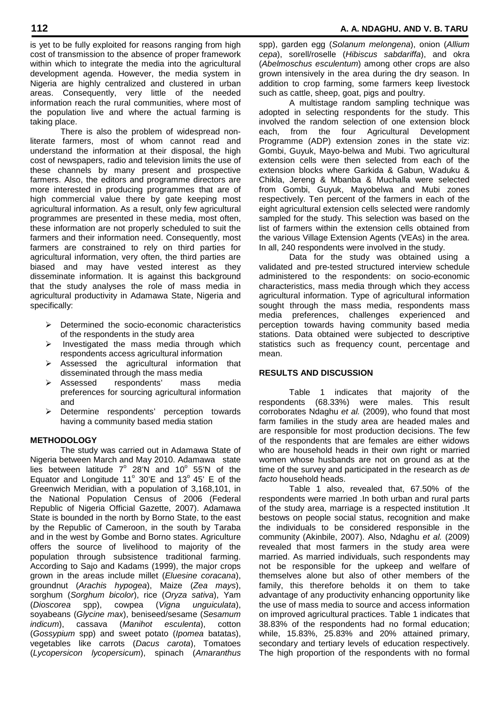is yet to be fully exploited for reasons ranging from high cost of transmission to the absence of proper framework within which to integrate the media into the agricultural development agenda. However, the media system in Nigeria are highly centralized and clustered in urban areas. Consequently, very little of the needed information reach the rural communities, where most of the population live and where the actual farming is taking place.

There is also the problem of widespread nonliterate farmers, most of whom cannot read and understand the information at their disposal, the high cost of newspapers, radio and television limits the use of these channels by many present and prospective farmers. Also, the editors and programme directors are more interested in producing programmes that are of high commercial value there by gate keeping most agricultural information. As a result, only few agricultural programmes are presented in these media, most often, these information are not properly scheduled to suit the farmers and their information need. Consequently, most farmers are constrained to rely on third parties for agricultural information, very often, the third parties are biased and may have vested interest as they disseminate information. It is against this background that the study analyses the role of mass media in agricultural productivity in Adamawa State, Nigeria and specifically:

- Determined the socio-economic characteristics of the respondents in the study area
- Investigated the mass media through which respondents access agricultural information
- $\triangleright$  Assessed the agricultural information that disseminated through the mass media
- > Assessed respondents' mass media preferences for sourcing agricultural information and
- > Determine respondents' perception towards having a community based media station

#### **METHODOLOGY**

The study was carried out in Adamawa State of Nigeria between March and May 2010. Adamawa state lies between latitude  $7^\circ$  28'N and 10 $^\circ$  55'N of the time Equator and Longitude  $11^{\circ}$  30'E and  $13^{\circ}$  45' E of the factor Greenwich Meridian, with a population of 3,168,101, in the National Population Census of 2006 (Federal Republic of Nigeria Official Gazette, 2007). Adamawa State is bounded in the north by Borno State, to the east by the Republic of Cameroon, in the south by Taraba and in the west by Gombe and Borno states. Agriculture offers the source of livelihood to majority of the population through subsistence traditional farming. According to Sajo and Kadams (1999), the major crops grown in the areas include millet (*Eluesine coracana*), groundnut (*Arachis hypogea*), Maize (*Zea mays*), sorghum (*Sorghum bicolor*), rice (*Oryza sativa*), Yam (*Dioscorea* spp), cowpea (*Vigna unguiculata*), soyabeans (*Glycine max*), beniseed/sesame (*Sesamum indicum*), cassava (*Manihot esculenta*), cotton (*Gossypium* spp) and sweet potato (*Ipomea* batatas), vegetables like carrots (*Dacus carota*), Tomatoes (*Lycopersicon lycopersicum*), spinach (*Amaranthus*

spp), garden egg (*Solanum melongena*), onion (*Allium cepa*), sorell/roselle (*Hibiscus sabdariffa*), and okra (*Abelmoschus esculentum*) among other crops are also grown intensively in the area during the dry season. In addition to crop farming, some farmers keep livestock such as cattle, sheep, goat, pigs and poultry.

A multistage random sampling technique was adopted in selecting respondents for the study. This involved the random selection of one extension block each, from the four Agricultural Development Programme (ADP) extension zones in the state viz: Gombi, Guyuk, Mayo-belwa and Mubi. Two agricultural extension cells were then selected from each of the extension blocks where Garkida & Gabun, Waduku & Chikla, Jereng & Mbanba & Muchalla were selected from Gombi, Guyuk, Mayobelwa and Mubi zones respectively. Ten percent of the farmers in each of the eight agricultural extension cells selected were randomly sampled for the study. This selection was based on the list of farmers within the extension cells obtained from the various Village Extension Agents (VEAs) in the area. In all, 240 respondents were involved in the study.

Data for the study was obtained using a validated and pre-tested structured interview schedule administered to the respondents: on socio-economic characteristics, mass media through which they access agricultural information. Type of agricultural information sought through the mass media, respondents mass media preferences, challenges experienced and perception towards having community based media stations. Data obtained were subjected to descriptive statistics such as frequency count, percentage and mean.

#### **RESULTS AND DISCUSSION**

Table 1 indicates that majority of the respondents (68.33%) were males. This result corroborates Ndaghu *et al.* (2009), who found that most farm families in the study area are headed males and are responsible for most production decisions. The few of the respondents that are females are either widows who are household heads in their own right or married women whose husbands are not on ground as at the time of the survey and participated in the research as *de facto* household heads.

Table 1 also, revealed that, 67.50% of the respondents were married .In both urban and rural parts of the study area, marriage is a respected institution .It bestows on people social status, recognition and make the individuals to be considered responsible in the community (Akinbile, 2007). Also, Ndaghu *et al.* (2009) revealed that most farmers in the study area were married. As married individuals, such respondents may not be responsible for the upkeep and welfare of themselves alone but also of other members of the family, this therefore beholds it on them to take advantage of any productivity enhancing opportunity like the use of mass media to source and access information on improved agricultural practices. Table 1 indicates that 38.83% of the respondents had no formal education; while, 15.83%, 25.83% and 20% attained primary, secondary and tertiary levels of education respectively. The high proportion of the respondents with no formal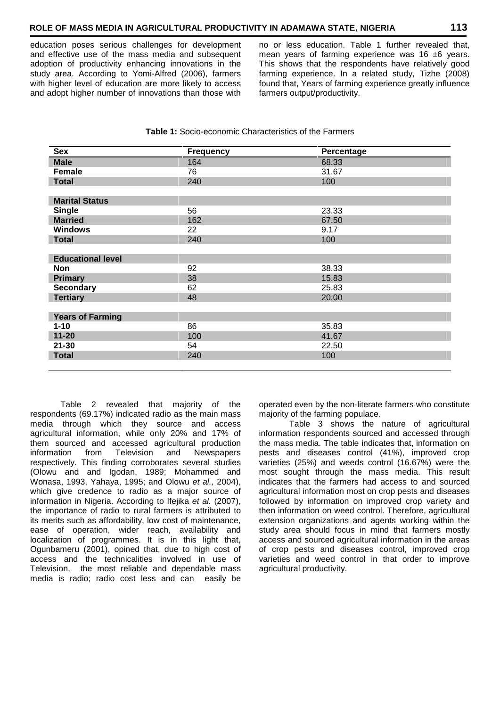education poses serious challenges for development and effective use of the mass media and subsequent adoption of productivity enhancing innovations in the study area. According to Yomi-Alfred (2006), farmers with higher level of education are more likely to access and adopt higher number of innovations than those with no or less education. Table 1 further revealed that, mean years of farming experience was 16 ±6 years. This shows that the respondents have relatively good farming experience. In a related study, Tizhe (2008) found that, Years of farming experience greatly influence farmers output/productivity.

| <b>Sex</b>               | <b>Frequency</b> | Percentage |
|--------------------------|------------------|------------|
| <b>Male</b>              | 164              | 68.33      |
| <b>Female</b>            | 76               | 31.67      |
| <b>Total</b>             | 240              | 100        |
|                          |                  |            |
| <b>Marital Status</b>    |                  |            |
| <b>Single</b>            | 56               | 23.33      |
| <b>Married</b>           | 162              | 67.50      |
| <b>Windows</b>           | 22               | 9.17       |
| <b>Total</b>             | 240              | 100        |
|                          |                  |            |
| <b>Educational level</b> |                  |            |
| <b>Non</b>               | 92               | 38.33      |
| <b>Primary</b>           | 38               | 15.83      |
| <b>Secondary</b>         | 62               | 25.83      |
| <b>Tertiary</b>          | 48               | 20.00      |
|                          |                  |            |
| <b>Years of Farming</b>  |                  |            |
| $1 - 10$                 | 86               | 35.83      |
| $11 - 20$                | 100              | 41.67      |
| $21 - 30$                | 54               | 22.50      |
| <b>Total</b>             | 240              | 100        |
|                          |                  |            |

#### **Table 1:** Socio-economic Characteristics of the Farmers

Table 2 revealed that majority of the respondents (69.17%) indicated radio as the main mass media through which they source and access agricultural information, while only 20% and 17% of them sourced and accessed agricultural production information from Television and Newspapers respectively. This finding corroborates several studies (Olowu and and Igodan, 1989; Mohammed and Wonasa, 1993, Yahaya, 1995; and Olowu *et al.,* 2004), which give credence to radio as a major source of information in Nigeria. According to Ifejika *et al.* (2007), the importance of radio to rural farmers is attributed to its merits such as affordability, low cost of maintenance, ease of operation, wider reach, availability and localization of programmes. It is in this light that, Ogunbameru (2001), opined that, due to high cost of access and the technicalities involved in use of Television, the most reliable and dependable mass media is radio; radio cost less and can easily be

operated even by the non-literate farmers who constitute majority of the farming populace.

Table 3 shows the nature of agricultural information respondents sourced and accessed through the mass media. The table indicates that, information on pests and diseases control (41%), improved crop varieties (25%) and weeds control (16.67%) were the most sought through the mass media. This result indicates that the farmers had access to and sourced agricultural information most on crop pests and diseases followed by information on improved crop variety and then information on weed control. Therefore, agricultural extension organizations and agents working within the study area should focus in mind that farmers mostly access and sourced agricultural information in the areas of crop pests and diseases control, improved crop varieties and weed control in that order to improve agricultural productivity.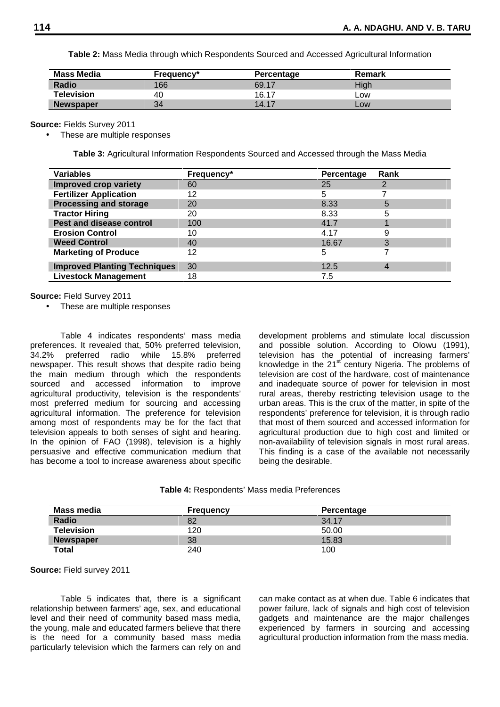**Table 2:** Mass Media through which Respondents Sourced and Accessed Agricultural Information

| Mass Media        | Freauencv* | Percentage | Remark |
|-------------------|------------|------------|--------|
| <b>Radio</b>      | 166        | 69.17      | High   |
| <b>Television</b> | 40         | 16.17      | Low    |
| <b>Newspaper</b>  | 34         | 14.17      | Low    |

**Source:** Fields Survey 2011

• These are multiple responses

**Table 3:** Agricultural Information Respondents Sourced and Accessed through the Mass Media

| <b>Variables</b>                    | Frequency* | Percentage | Rank |
|-------------------------------------|------------|------------|------|
| <b>Improved crop variety</b>        | 60         | 25         | າ    |
| <b>Fertilizer Application</b>       | 12         |            |      |
| <b>Processing and storage</b>       | 20         | 8.33       | 5    |
| <b>Tractor Hiring</b>               | 20         | 8.33       | 5    |
| Pest and disease control            | 100        | 41.7       |      |
| <b>Erosion Control</b>              | 10         | 4.17       | 9    |
| <b>Weed Control</b>                 | 40         | 16.67      | 3    |
| <b>Marketing of Produce</b>         | 12         | 5          |      |
| <b>Improved Planting Techniques</b> | 30         | 12.5       | 4    |
| <b>Livestock Management</b>         | 18         | 7.5        |      |

**Source:** Field Survey 2011

• These are multiple responses

Table 4 indicates respondents' mass media preferences. It revealed that, 50% preferred television,<br>34.2% preferred radio while 15.8% preferred 34.2% preferred radio while newspaper. This result shows that despite radio being the main medium through which the respondents sourced and accessed information to improve agricultural productivity, television is the respondents' most preferred medium for sourcing and accessing agricultural information. The preference for television among most of respondents may be for the fact that television appeals to both senses of sight and hearing. In the opinion of FAO (1998), television is a highly persuasive and effective communication medium that has become a tool to increase awareness about specific development problems and stimulate local discussion and possible solution. According to Olowu (1991), television has the potential of increasing farmers' knowledge in the  $21<sup>st</sup>$  century Nigeria. The problems of television are cost of the hardware, cost of maintenance and inadequate source of power for television in most rural areas, thereby restricting television usage to the urban areas. This is the crux of the matter, in spite of the respondents' preference for television, it is through radio that most of them sourced and accessed information for agricultural production due to high cost and limited or non-availability of television signals in most rural areas. This finding is a case of the available not necessarily being the desirable.

| Mass media        | <b>Frequency</b> | Percentage |
|-------------------|------------------|------------|
| <b>Radio</b>      | 82               | 34.17      |
| <b>Television</b> | 120              | 50.00      |
| <b>Newspaper</b>  | 38               | 15.83      |
| <b>Total</b>      | 240              | 100        |

**Source:** Field survey 2011

Table 5 indicates that, there is a significant relationship between farmers' age, sex, and educational level and their need of community based mass media, the young, male and educated farmers believe that there is the need for a community based mass media particularly television which the farmers can rely on and can make contact as at when due. Table 6 indicates that power failure, lack of signals and high cost of television gadgets and maintenance are the major challenges experienced by farmers in sourcing and accessing agricultural production information from the mass media.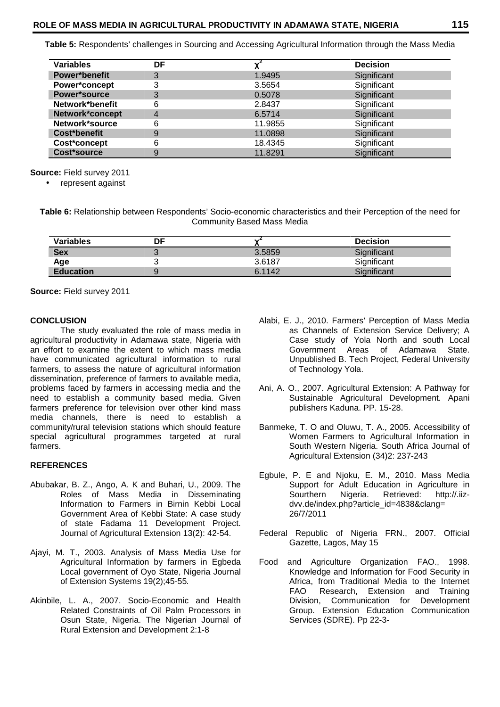**Table 5:** Respondents' challenges in Sourcing and Accessing Agricultural Information through the Mass Media

| <b>Variables</b>     | DF |         | <b>Decision</b> |
|----------------------|----|---------|-----------------|
| <b>Power*benefit</b> | 3  | 1.9495  | Significant     |
| Power*concept        | 3  | 3.5654  | Significant     |
| Power*source         | 3  | 0.5078  | Significant     |
| Network*benefit      | 6  | 2.8437  | Significant     |
| Network*concept      | 4  | 6.5714  | Significant     |
| Network*source       | 6  | 11.9855 | Significant     |
| Cost*benefit         | 9  | 11.0898 | Significant     |
| Cost*concept         | 6  | 18.4345 | Significant     |
| Cost*source          | 9  | 11.8291 | Significant     |

**Source:** Field survey 2011

represent against

**Table 6:** Relationship between Respondents' Socio-economic characteristics and their Perception of the need for Community Based Mass Media

| <b>Variables</b> | DF |        | <b>Decision</b> |
|------------------|----|--------|-----------------|
| <b>Sex</b>       |    | 3.5859 | Significant     |
| Age              |    | 3.6187 | Significant     |
| <b>Education</b> |    | 6.1142 | Significant     |

**Source:** Field survey 2011

#### **CONCLUSION**

The study evaluated the role of mass media in agricultural productivity in Adamawa state, Nigeria with an effort to examine the extent to which mass media have communicated agricultural information to rural farmers, to assess the nature of agricultural information dissemination, preference of farmers to available media, problems faced by farmers in accessing media and the need to establish a community based media. Given farmers preference for television over other kind mass media channels, there is need to establish a community/rural television stations which should feature special agricultural programmes targeted at rural farmers.

### **REFERENCES**

- Abubakar, B. Z., Ango, A. K and Buhari, U., 2009. The Roles of Mass Media in Disseminating Information to Farmers in Birnin Kebbi Local Government Area of Kebbi State: A case study of state Fadama 11 Development Project. Journal of Agricultural Extension 13(2): 42-54.
- Ajayi, M. T., 2003. Analysis of Mass Media Use for Agricultural Information by farmers in Egbeda Local government of Oyo State, Nigeria Journal of Extension Systems 19(2);45-55*.*
- Akinbile, L. A., 2007. Socio-Economic and Health Related Constraints of Oil Palm Processors in Osun State, Nigeria. The Nigerian Journal of Rural Extension and Development 2:1-8
- Alabi, E. J., 2010. Farmers' Perception of Mass Media as Channels of Extension Service Delivery; A Case study of Yola North and south Local Government Areas of Adamawa State. Unpublished B. Tech Project, Federal University of Technology Yola.
- Ani, A. O., 2007. Agricultural Extension: A Pathway for Sustainable Agricultural Development*.* Apani publishers Kaduna. PP. 15-28.
- Banmeke, T. O and Oluwu, T. A., 2005. Accessibility of Women Farmers to Agricultural Information in South Western Nigeria. South Africa Journal of Agricultural Extension (34)2: 237-243
- Egbule, P. E and Njoku, E. M., 2010. Mass Media Support for Adult Education in Agriculture in<br>Sourthern Nigeria. Retrieved: http://.iiz-Sourthern Nigeria. Retrieved: http://.iiz dvv.de/index.php?article\_id=4838&clang= 26/7/2011
- Federal Republic of Nigeria FRN., 2007. Official Gazette, Lagos, May 15
- and Agriculture Organization FAO., 1998. Knowledge and Information for Food Security in Africa, from Traditional Media to the Internet FAO Research, Extension and Training Division, Communication for Development Group. Extension Education Communication Services (SDRE). Pp 22-3-